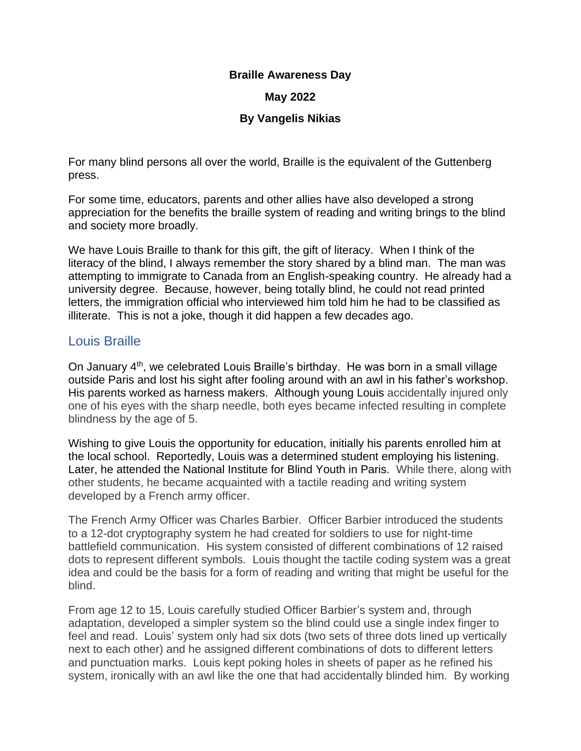### **Braille Awareness Day**

### **May 2022**

### **By Vangelis Nikias**

For many blind persons all over the world, Braille is the equivalent of the Guttenberg press.

For some time, educators, parents and other allies have also developed a strong appreciation for the benefits the braille system of reading and writing brings to the blind and society more broadly.

We have Louis Braille to thank for this gift, the gift of literacy. When I think of the literacy of the blind, I always remember the story shared by a blind man. The man was attempting to immigrate to Canada from an English-speaking country. He already had a university degree. Because, however, being totally blind, he could not read printed letters, the immigration official who interviewed him told him he had to be classified as illiterate. This is not a joke, though it did happen a few decades ago.

# Louis Braille

On January 4<sup>th</sup>, we celebrated Louis Braille's birthday. He was born in a small village outside Paris and lost his sight after fooling around with an awl in his father's workshop. His parents worked as harness makers. Although young Louis accidentally injured only one of his eyes with the sharp needle, both eyes became infected resulting in complete blindness by the age of 5.

Wishing to give Louis the opportunity for education, initially his parents enrolled him at the local school. Reportedly, Louis was a determined student employing his listening. Later, he attended the National Institute for Blind Youth in Paris. While there, along with other students, he became acquainted with a tactile reading and writing system developed by a French army officer.

The French Army Officer was Charles Barbier. Officer Barbier introduced the students to a 12-dot cryptography system he had created for soldiers to use for night-time battlefield communication. His system consisted of different combinations of 12 raised dots to represent different symbols. Louis thought the tactile coding system was a great idea and could be the basis for a form of reading and writing that might be useful for the blind.

From age 12 to 15, Louis carefully studied Officer Barbier's system and, through adaptation, developed a simpler system so the blind could use a single index finger to feel and read. Louis' system only had six dots (two sets of three dots lined up vertically next to each other) and he assigned different combinations of dots to different letters and punctuation marks. Louis kept poking holes in sheets of paper as he refined his system, ironically with an awl like the one that had accidentally blinded him. By working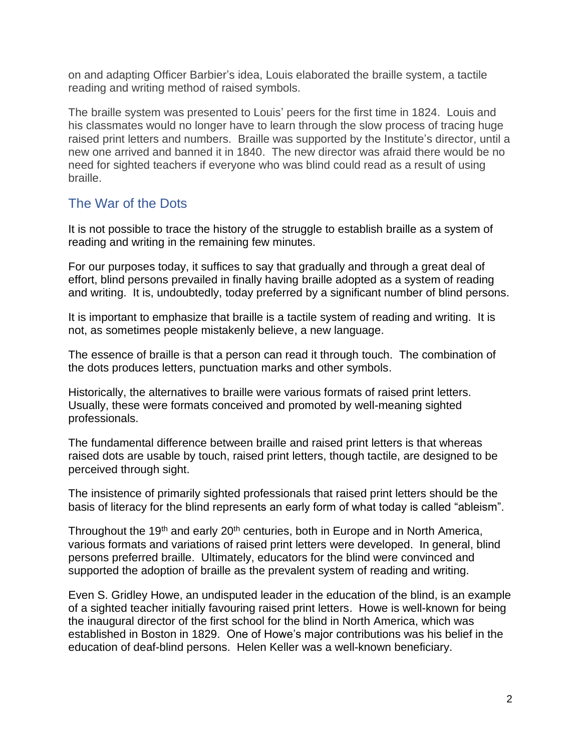on and adapting Officer Barbier's idea, Louis elaborated the braille system, a tactile reading and writing method of raised symbols.

The braille system was presented to Louis' peers for the first time in 1824. Louis and his classmates would no longer have to learn through the slow process of tracing huge raised print letters and numbers. Braille was supported by the Institute's director, until a new one arrived and banned it in 1840. The new director was afraid there would be no need for sighted teachers if everyone who was blind could read as a result of using braille.

# The War of the Dots

It is not possible to trace the history of the struggle to establish braille as a system of reading and writing in the remaining few minutes.

For our purposes today, it suffices to say that gradually and through a great deal of effort, blind persons prevailed in finally having braille adopted as a system of reading and writing. It is, undoubtedly, today preferred by a significant number of blind persons.

It is important to emphasize that braille is a tactile system of reading and writing. It is not, as sometimes people mistakenly believe, a new language.

The essence of braille is that a person can read it through touch. The combination of the dots produces letters, punctuation marks and other symbols.

Historically, the alternatives to braille were various formats of raised print letters. Usually, these were formats conceived and promoted by well-meaning sighted professionals.

The fundamental difference between braille and raised print letters is that whereas raised dots are usable by touch, raised print letters, though tactile, are designed to be perceived through sight.

The insistence of primarily sighted professionals that raised print letters should be the basis of literacy for the blind represents an early form of what today is called "ableism".

Throughout the 19<sup>th</sup> and early 20<sup>th</sup> centuries, both in Europe and in North America, various formats and variations of raised print letters were developed. In general, blind persons preferred braille. Ultimately, educators for the blind were convinced and supported the adoption of braille as the prevalent system of reading and writing.

Even S. Gridley Howe, an undisputed leader in the education of the blind, is an example of a sighted teacher initially favouring raised print letters. Howe is well-known for being the inaugural director of the first school for the blind in North America, which was established in Boston in 1829. One of Howe's major contributions was his belief in the education of deaf-blind persons. Helen Keller was a well-known beneficiary.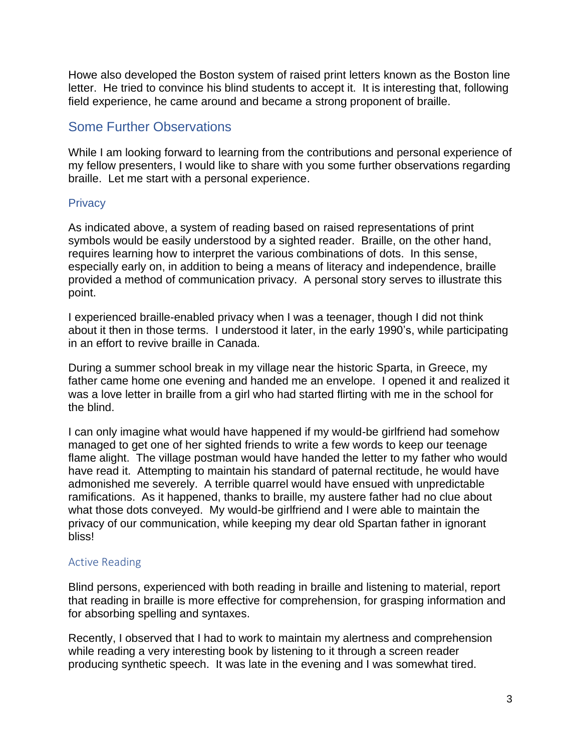Howe also developed the Boston system of raised print letters known as the Boston line letter. He tried to convince his blind students to accept it. It is interesting that, following field experience, he came around and became a strong proponent of braille.

# Some Further Observations

While I am looking forward to learning from the contributions and personal experience of my fellow presenters, I would like to share with you some further observations regarding braille. Let me start with a personal experience.

# **Privacy**

As indicated above, a system of reading based on raised representations of print symbols would be easily understood by a sighted reader. Braille, on the other hand, requires learning how to interpret the various combinations of dots. In this sense, especially early on, in addition to being a means of literacy and independence, braille provided a method of communication privacy. A personal story serves to illustrate this point.

I experienced braille-enabled privacy when I was a teenager, though I did not think about it then in those terms. I understood it later, in the early 1990's, while participating in an effort to revive braille in Canada.

During a summer school break in my village near the historic Sparta, in Greece, my father came home one evening and handed me an envelope. I opened it and realized it was a love letter in braille from a girl who had started flirting with me in the school for the blind.

I can only imagine what would have happened if my would-be girlfriend had somehow managed to get one of her sighted friends to write a few words to keep our teenage flame alight. The village postman would have handed the letter to my father who would have read it. Attempting to maintain his standard of paternal rectitude, he would have admonished me severely. A terrible quarrel would have ensued with unpredictable ramifications. As it happened, thanks to braille, my austere father had no clue about what those dots conveyed. My would-be girlfriend and I were able to maintain the privacy of our communication, while keeping my dear old Spartan father in ignorant bliss!

# Active Reading

Blind persons, experienced with both reading in braille and listening to material, report that reading in braille is more effective for comprehension, for grasping information and for absorbing spelling and syntaxes.

Recently, I observed that I had to work to maintain my alertness and comprehension while reading a very interesting book by listening to it through a screen reader producing synthetic speech. It was late in the evening and I was somewhat tired.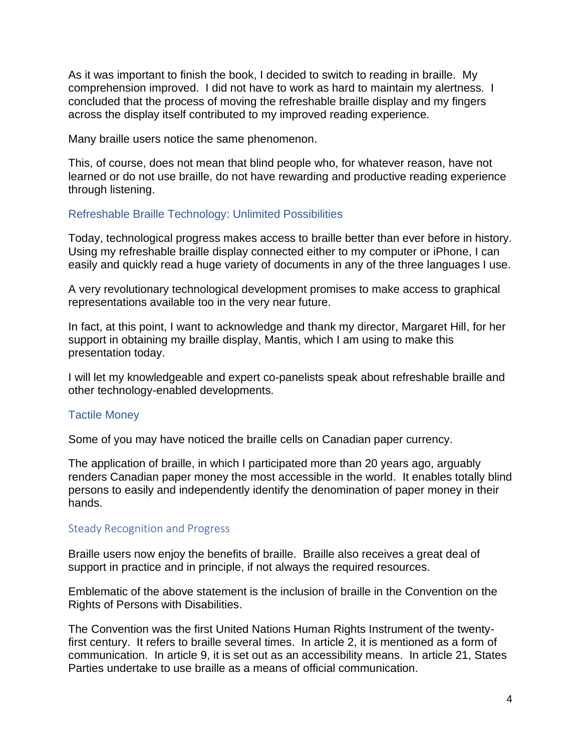As it was important to finish the book, I decided to switch to reading in braille. My comprehension improved. I did not have to work as hard to maintain my alertness. I concluded that the process of moving the refreshable braille display and my fingers across the display itself contributed to my improved reading experience.

Many braille users notice the same phenomenon.

This, of course, does not mean that blind people who, for whatever reason, have not learned or do not use braille, do not have rewarding and productive reading experience through listening.

## Refreshable Braille Technology: Unlimited Possibilities

Today, technological progress makes access to braille better than ever before in history. Using my refreshable braille display connected either to my computer or iPhone, I can easily and quickly read a huge variety of documents in any of the three languages I use.

A very revolutionary technological development promises to make access to graphical representations available too in the very near future.

In fact, at this point, I want to acknowledge and thank my director, Margaret Hill, for her support in obtaining my braille display, Mantis, which I am using to make this presentation today.

I will let my knowledgeable and expert co-panelists speak about refreshable braille and other technology-enabled developments.

#### Tactile Money

Some of you may have noticed the braille cells on Canadian paper currency.

The application of braille, in which I participated more than 20 years ago, arguably renders Canadian paper money the most accessible in the world. It enables totally blind persons to easily and independently identify the denomination of paper money in their hands.

#### Steady Recognition and Progress

Braille users now enjoy the benefits of braille. Braille also receives a great deal of support in practice and in principle, if not always the required resources.

Emblematic of the above statement is the inclusion of braille in the Convention on the Rights of Persons with Disabilities.

The Convention was the first United Nations Human Rights Instrument of the twentyfirst century. It refers to braille several times. In article 2, it is mentioned as a form of communication. In article 9, it is set out as an accessibility means. In article 21, States Parties undertake to use braille as a means of official communication.